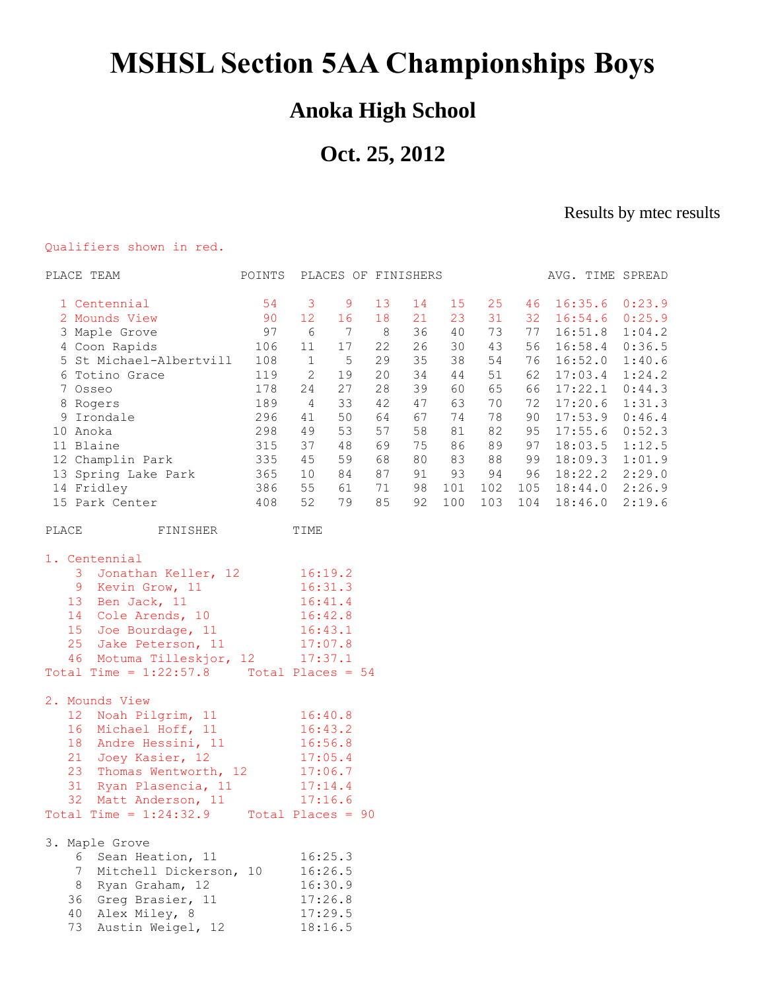## **MSHSL Section 5AA Championships Boys**

## **Anoka High School**

## **Oct. 25, 2012**

Results by mtec results

## Qualifiers shown in red.

| PLACE TEAM                                   | POINTS                     |                | PLACES OF FINISHERS |     |    |     |     |     |         | AVG. TIME SPREAD |
|----------------------------------------------|----------------------------|----------------|---------------------|-----|----|-----|-----|-----|---------|------------------|
| 1 Centennial                                 | 54                         | $\overline{3}$ | 9                   | 13  | 14 | 15  | 25  | 46  | 16:35.6 | 0:23.9           |
| 2 Mounds View                                | 90                         | 12             | 16                  | 18  | 21 | 23  | 31  | 32  | 16:54.6 | 0:25.9           |
| 3 Maple Grove                                | 97                         | 6              | 7                   | - 8 | 36 | 40  | 73  | 77  | 16:51.8 | 1:04.2           |
| 4 Coon Rapids                                | 106                        | 11             | $17$                | 22  | 26 | 30  | 43  | 56  | 16:58.4 | 0:36.5           |
| 5 St Michael-Albertvill                      | 108                        | $\mathbf{1}$   | $\mathsf S$         | 29  | 35 | 38  | 54  | 76  | 16:52.0 | 1:40.6           |
| 6 Totino Grace                               | 119                        | $\mathbf{2}$   | 19                  | 20  | 34 | 44  | 51  | 62  | 17:03.4 | 1:24.2           |
| 7 Osseo                                      | 178                        | 24             | 27                  | 28  | 39 | 60  | 65  | 66  | 17:22.1 | 0:44.3           |
| 8 Rogers                                     | 189                        | $\overline{4}$ | 33                  | 42  | 47 | 63  | 70  | 72  | 17:20.6 | 1:31.3           |
| 9 Irondale                                   | 296                        | 41             | 50                  | 64  | 67 | 74  | 78  | 90  | 17:53.9 | 0:46.4           |
| 10 Anoka                                     | 298                        | 49             | 53                  | 57  | 58 | 81  | 82  | 95  | 17:55.6 | 0:52.3           |
| 11 Blaine                                    | 315                        | 37             | 48                  | 69  | 75 | 86  | 89  | 97  | 18:03.5 | 1:12.5           |
| 12 Champlin Park                             | 335                        | 45             | 59                  | 68  | 80 | 83  | 88  | 99  | 18:09.3 | 1:01.9           |
| 13 Spring Lake Park                          | 365                        | 10             | 84                  | 87  | 91 | 93  | 94  | 96  | 18:22.2 | 2:29.0           |
| 14 Fridley                                   | 386                        | 55             | 61                  | 71  | 98 | 101 | 102 | 105 | 18:44.0 | 2:26.9           |
| 15 Park Center                               | 408                        | 52             | 79                  | 85  | 92 | 100 | 103 | 104 | 18:46.0 | 2:19.6           |
| FINISHER<br>PLACE                            |                            | TIME           |                     |     |    |     |     |     |         |                  |
| 1. Centennial                                |                            |                |                     |     |    |     |     |     |         |                  |
| 3<br>Jonathan Keller, 12                     |                            | 16:19.2        |                     |     |    |     |     |     |         |                  |
| 9 Kevin Grow, 11                             |                            | 16:31.3        |                     |     |    |     |     |     |         |                  |
| 13<br>Ben Jack, 11                           |                            | 16:41.4        |                     |     |    |     |     |     |         |                  |
| 14<br>Cole Arends, 10                        |                            | 16:42.8        |                     |     |    |     |     |     |         |                  |
| 15<br>Joe Bourdage, 11                       |                            | 16:43.1        |                     |     |    |     |     |     |         |                  |
| 25<br>Jake Peterson, 11                      | 17:07.8                    |                |                     |     |    |     |     |     |         |                  |
| Motuma Tilleskjor, 12<br>46                  |                            | 17:37.1        |                     |     |    |     |     |     |         |                  |
| Total Time = $1:22:57.8$ Total Places = $54$ |                            |                |                     |     |    |     |     |     |         |                  |
| 2. Mounds View                               |                            |                |                     |     |    |     |     |     |         |                  |
| 12<br>Noah Pilgrim, 11                       |                            | 16:40.8        |                     |     |    |     |     |     |         |                  |
| 16<br>Michael Hoff, 11                       | 16:43.2                    |                |                     |     |    |     |     |     |         |                  |
| 18<br>Andre Hessini, 11                      | 16:56.8                    |                |                     |     |    |     |     |     |         |                  |
| 21<br>Joey Kasier, 12                        | 17:05.4                    |                |                     |     |    |     |     |     |         |                  |
| 23<br>Thomas Wentworth, 12                   |                            | 17:06.7        |                     |     |    |     |     |     |         |                  |
| 31<br>Ryan Plasencia, 11                     |                            | 17:14.4        |                     |     |    |     |     |     |         |                  |
| 32<br>Matt Anderson, 11                      |                            | 17:16.6        |                     |     |    |     |     |     |         |                  |
| Total Time = $1:24:32.9$                     | $Total \text{Places} = 90$ |                |                     |     |    |     |     |     |         |                  |
| 3. Maple Grove                               |                            |                |                     |     |    |     |     |     |         |                  |
| Sean Heation, 11<br>6                        |                            | 16:25.3        |                     |     |    |     |     |     |         |                  |
| 7<br>Mitchell Dickerson, 10                  |                            | 16:26.5        |                     |     |    |     |     |     |         |                  |
| 8<br>Ryan Graham, 12                         |                            | 16:30.9        |                     |     |    |     |     |     |         |                  |
| Greg Brasier, 11<br>36                       |                            | 17:26.8        |                     |     |    |     |     |     |         |                  |
| Alex Miley, 8<br>40                          |                            | 17:29.5        |                     |     |    |     |     |     |         |                  |
| Austin Weigel, 12<br>73                      |                            | 18:16.5        |                     |     |    |     |     |     |         |                  |
|                                              |                            |                |                     |     |    |     |     |     |         |                  |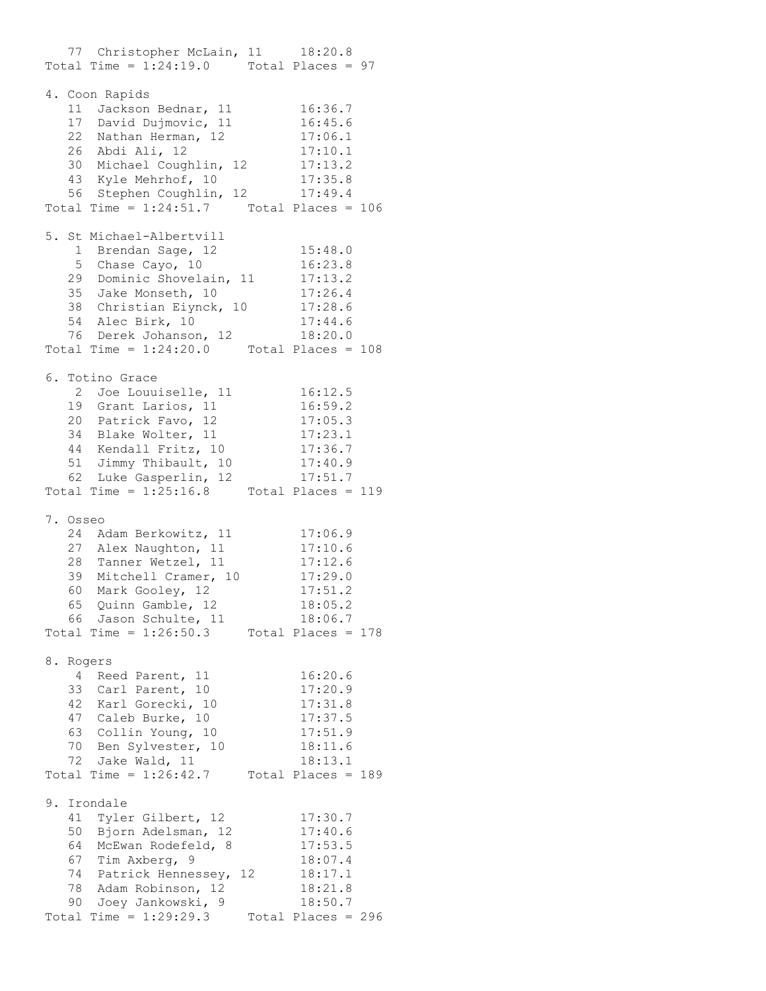77 Christopher McLain, 11 18:20.8 Total Time =  $1:24:19.0$  Total Places = 97 4. Coon Rapids 11 Jackson Bednar, 11 16:36.7 17 David Dujmovic, 11 16:45.6 22 Nathan Herman, 12 17:06.1 26 Abdi Ali, 12 17:10.1 30 Michael Coughlin, 12 17:13.2 43 Kyle Mehrhof, 10 17:35.8 56 Stephen Coughlin, 12 17:49.4 Total Time =  $1:24:51.7$  Total Places = 106 5. St Michael-Albertvill 1 Brendan Sage, 12 15:48.0 5 Chase Cayo, 10 16:23.8 29 Dominic Shovelain, 11 17:13.2 35 Jake Monseth, 10 17:26.4 38 Christian Eiynck, 10 17:28.6 54 Alec Birk, 10 17:44.6 76 Derek Johanson, 12 18:20.0 Total Time =  $1:24:20.0$  Total Places = 108 6. Totino Grace 2 Joe Louuiselle, 11 16:12.5 19 Grant Larios, 11 16:59.2 20 Patrick Favo, 12 17:05.3 34 Blake Wolter, 11 17:23.1 44 Kendall Fritz, 10 17:36.7 51 Jimmy Thibault, 10 17:40.9 62 Luke Gasperlin, 12 17:51.7 Total Time =  $1:25:16.8$  Total Places = 119 7. Osseo 24 Adam Berkowitz, 11 17:06.9 27 Alex Naughton, 11 17:10.6 28 Tanner Wetzel, 11 17:12.6 39 Mitchell Cramer, 10 17:29.0 60 Mark Gooley, 12 17:51.2 65 Quinn Gamble, 12 18:05.2 66 Jason Schulte, 11 18:06.7 Total Time =  $1:26:50.3$  Total Places = 178 8. Rogers 4 Reed Parent, 11 16:20.6 33 Carl Parent, 10 17:20.9 42 Karl Gorecki, 10 17:31.8 47 Caleb Burke, 10 17:37.5 63 Collin Young, 10 17:51.9 70 Ben Sylvester, 10 18:11.6 72 Jake Wald, 11 18:13.1 Total Time =  $1:26:42.7$  Total Places = 189 9. Irondale 41 Tyler Gilbert, 12 17:30.7 50 Bjorn Adelsman, 12 17:40.6 64 McEwan Rodefeld, 8 17:53.5 67 Tim Axberg, 9 18:07.4 74 Patrick Hennessey, 12 18:17.1 78 Adam Robinson, 12 18:21.8 90 Joey Jankowski, 9 18:50.7 Total Time =  $1:29:29.3$  Total Places = 296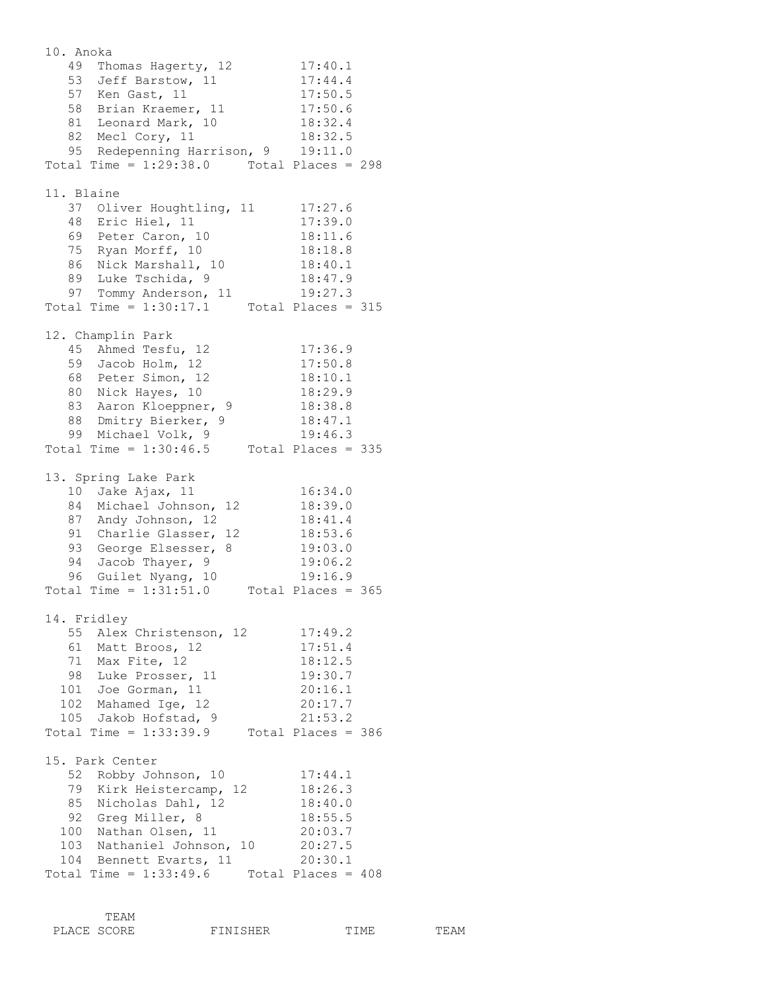10. Anoka 49 Thomas Hagerty, 12 17:40.1 53 Jeff Barstow, 11 17:44.4 57 Ken Gast, 11 17:50.5 58 Brian Kraemer, 11 17:50.6 81 Leonard Mark, 10 18:32.4 82 Mecl Cory, 11 18:32.5 95 Redepenning Harrison, 9 19:11.0 Total Time = 1:29:38.0 Total Places = 298 11. Blaine 37 Oliver Houghtling, 11 17:27.6 48 Eric Hiel, 11 17:39.0 69 Peter Caron, 10 18:11.6 75 Ryan Morff, 10 18:18.8 86 Nick Marshall, 10 18:40.1 89 Luke Tschida, 9 18:47.9 97 Tommy Anderson, 11 19:27.3 Total Time =  $1:30:17.1$  Total Places = 315 12. Champlin Park 45 Ahmed Tesfu, 12 17:36.9 59 Jacob Holm, 12 17:50.8 68 Peter Simon, 12 18:10.1 80 Nick Hayes, 10 18:29.9 83 Aaron Kloeppner, 9 18:38.8 88 Dmitry Bierker, 9 18:47.1 99 Michael Volk, 9 19:46.3 Total Time =  $1:30:46.5$  Total Places = 335 13. Spring Lake Park 10 Jake Ajax, 11 16:34.0 84 Michael Johnson, 12 18:39.0 87 Andy Johnson, 12 18:41.4 91 Charlie Glasser, 12 18:53.6 93 George Elsesser, 8 19:03.0 94 Jacob Thayer, 9 19:06.2 96 Guilet Nyang, 10 19:16.9 Total Time = 1:31:51.0 Total Places = 365 14. Fridley 55 Alex Christenson, 12 17:49.2 61 Matt Broos, 12 17:51.4 71 Max Fite, 12 18:12.5 98 Luke Prosser, 11 19:30.7 101 Joe Gorman, 11 20:16.1 102 Mahamed Ige, 12 20:17.7 105 Jakob Hofstad, 9 21:53.2 Total Time = 1:33:39.9 Total Places = 386 15. Park Center 52 Robby Johnson, 10 17:44.1 79 Kirk Heistercamp, 12 18:26.3 85 Nicholas Dahl, 12 18:40.0 92 Greg Miller, 8 18:55.5 100 Nathan Olsen, 11 20:03.7 103 Nathaniel Johnson, 10 20:27.5 104 Bennett Evarts, 11 20:30.1 Total Time =  $1:33:49.6$  Total Places =  $408$ 

|             | TF.AM |                 |      |  |
|-------------|-------|-----------------|------|--|
| PLACE SCORE |       | <b>FINISHER</b> | ㅠㅜMㅠ |  |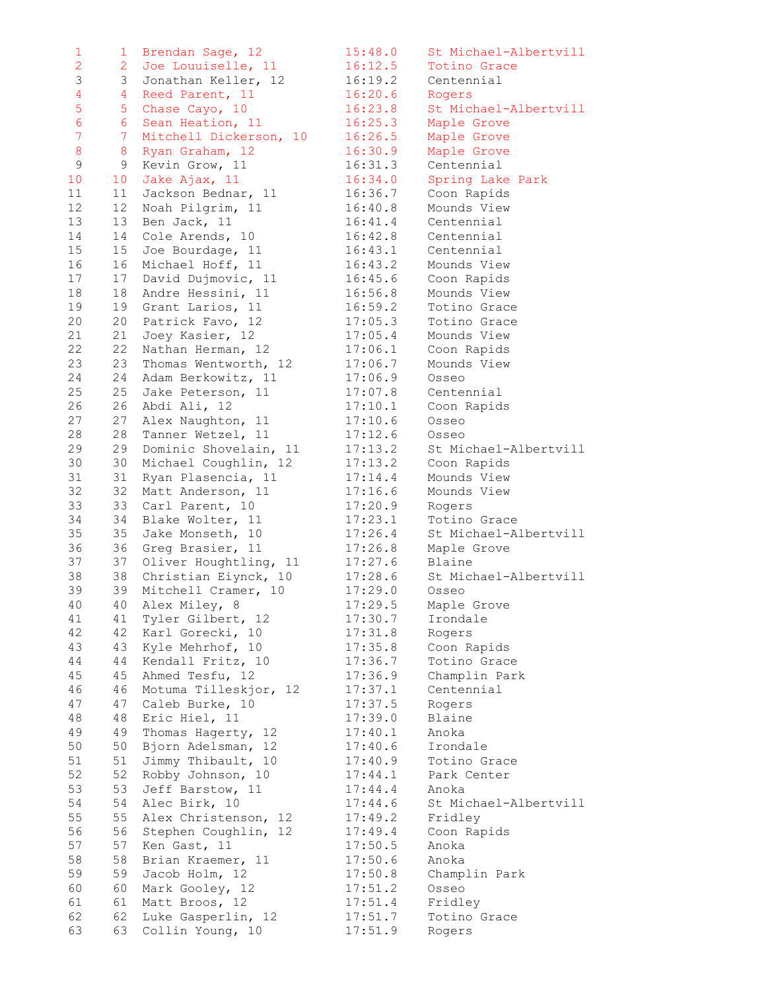| 1               | $\mathbf{1}$     | Brendan Sage, 12              | 15:48.0 | St Michael-Albertvill |
|-----------------|------------------|-------------------------------|---------|-----------------------|
| $\overline{2}$  | $\overline{2}$   | Joe Louuiselle, 11 16:12.5    |         | Totino Grace          |
| 3               | 3                | Jonathan Keller, 12 16:19.2   |         | Centennial            |
| $\overline{4}$  | 4                | Reed Parent, 11               | 16:20.6 | Rogers                |
| 5               | 5                | Chase Cayo, 10                | 16:23.8 | St Michael-Albertvill |
| $6\overline{6}$ | $6 \overline{6}$ | Sean Heation, 11              | 16:25.3 | Maple Grove           |
| $\overline{7}$  | $\overline{7}$   | Mitchell Dickerson, 10        | 16:26.5 | Maple Grove           |
| 8               | 8                | Ryan Graham, 12               | 16:30.9 | Maple Grove           |
| $\mathsf 9$     | 9                | Kevin Grow, 11                | 16:31.3 | Centennial            |
| 10              | 10               | Jake Ajax, 11                 | 16:34.0 | Spring Lake Park      |
| 11              | 11               | Jackson Bednar, 11 16:36.7    |         | Coon Rapids           |
| 12              | 12               | Noah Pilgrim, 11              | 16:40.8 | Mounds View           |
| 13              | 13               | Ben Jack, 11                  | 16:41.4 | Centennial            |
| 14              | 14               | Cole Arends, 10               | 16:42.8 | Centennial            |
| 15              | 15               | Joe Bourdage, 11              | 16:43.1 | Centennial            |
| 16              | 16               | Michael Hoff, 11              | 16:43.2 | Mounds View           |
| 17              | 17               | David Dujmovic, 11            | 16:45.6 | Coon Rapids           |
| 18              | 18               | Andre Hessini, 11             | 16:56.8 | Mounds View           |
| 19              | 19               | Grant Larios, 11              | 16:59.2 | Totino Grace          |
| 20              | 20               | Patrick Favo, 12              | 17:05.3 | Totino Grace          |
| 21              | 21               | Joey Kasier, 12               | 17:05.4 | Mounds View           |
| 22              | 22               | Nathan Herman, 12             | 17:06.1 | Coon Rapids           |
| 23              | 23               | Thomas Wentworth, 12          | 17:06.7 | Mounds View           |
| 24              | 24               | Adam Berkowitz, 11            | 17:06.9 | Osseo                 |
| 25              | 25               | Jake Peterson, 11             | 17:07.8 | Centennial            |
| 26              | 26               | Abdi Ali, 12                  | 17:10.1 | Coon Rapids           |
| 27              | 27               | Alex Naughton, 11             | 17:10.6 | Osseo                 |
| 28              | 28               | Tanner Wetzel, 11             | 17:12.6 | Osseo                 |
| 29              | 29               | Dominic Shovelain, 11         | 17:13.2 | St Michael-Albertvill |
| 30              | 30               | Michael Coughlin, 12          | 17:13.2 | Coon Rapids           |
| 31              | 31               | Ryan Plasencia, 11            | 17:14.4 | Mounds View           |
| 32              | 32               | Matt Anderson, 11             | 17:16.6 | Mounds View           |
| 33              | 33               | Carl Parent, 10               | 17:20.9 | Rogers                |
| 34              | 34               | Blake Wolter, 11              | 17:23.1 | Totino Grace          |
| 35              | 35               | Jake Monseth, 10              | 17:26.4 | St Michael-Albertvill |
| 36              | 36               | Greg Brasier, 11              | 17:26.8 | Maple Grove           |
| 37              | 37               | Oliver Houghtling, 11 17:27.6 |         | Blaine                |
| 38              | 38               | Christian Eiynck, 10          | 17:28.6 | St Michael-Albertvill |
| 39              | 39               | Mitchell Cramer, 10           | 17:29.0 | Osseo                 |
| 40              | 40               | Alex Miley, 8                 | 17:29.5 | Maple Grove           |
| 41              | 41               | Tyler Gilbert, 12             | 17:30.7 | Irondale              |
| 42              | 42               | Karl Gorecki, 10              | 17:31.8 | Rogers                |
| 43              | 43               | Kyle Mehrhof, 10              | 17:35.8 | Coon Rapids           |
| 44              | 44               | Kendall Fritz, 10             | 17:36.7 | Totino Grace          |
| 45              | 45               | Ahmed Tesfu, 12               | 17:36.9 | Champlin Park         |
| 46              | 46               | Motuma Tilleskjor, 12         | 17:37.1 | Centennial            |
| 47              | 47               | Caleb Burke, 10               | 17:37.5 | Rogers                |
| 48              | 48               | Eric Hiel, 11                 | 17:39.0 | Blaine                |
| 49              | 49               | Thomas Hagerty, 12            | 17:40.1 | Anoka                 |
| 50              | 50               | Bjorn Adelsman, 12            | 17:40.6 | Irondale              |
| 51              | 51               | Jimmy Thibault, 10            | 17:40.9 | Totino Grace          |
| 52              | 52               | Robby Johnson, 10             | 17:44.1 | Park Center           |
| 53              | 53               | Jeff Barstow, 11              | 17:44.4 | Anoka                 |
| 54              | 54               | Alec Birk, 10                 | 17:44.6 | St Michael-Albertvill |
| 55              | 55               | Alex Christenson, 12          | 17:49.2 | Fridley               |
| 56              | 56               | Stephen Coughlin, 12          | 17:49.4 | Coon Rapids           |
| 57              | 57               | Ken Gast, 11                  | 17:50.5 | Anoka                 |
| 58              | 58               | Brian Kraemer, 11             | 17:50.6 | Anoka                 |
| 59              | 59               | Jacob Holm, 12                | 17:50.8 | Champlin Park         |
| 60              | 60               | Mark Gooley, 12               | 17:51.2 | Osseo                 |
| 61              | 61               | Matt Broos, 12                | 17:51.4 | Fridley               |
| 62              | 62               | Luke Gasperlin, 12            | 17:51.7 | Totino Grace          |
| 63              | 63               | Collin Young, 10              | 17:51.9 | Rogers                |
|                 |                  |                               |         |                       |